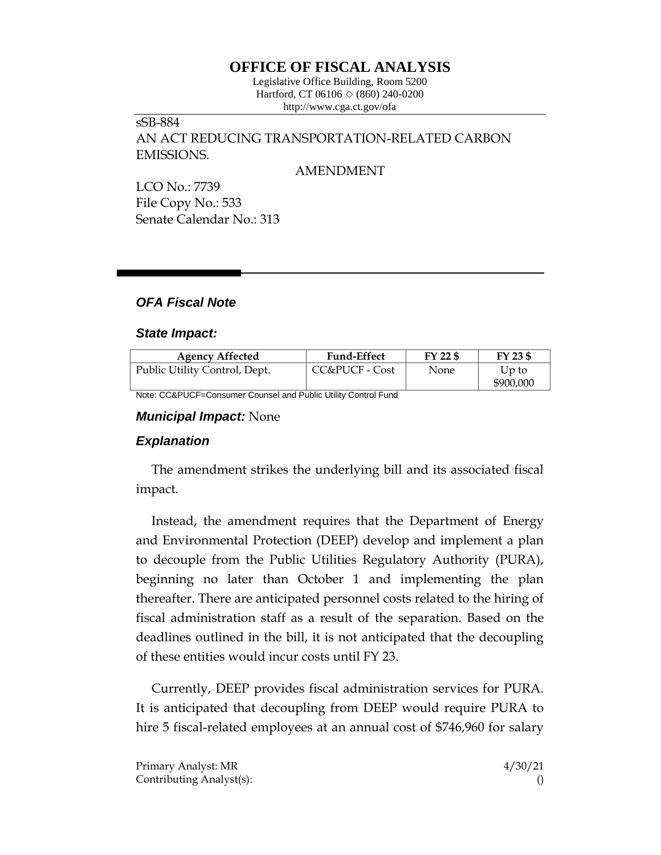# **OFFICE OF FISCAL ANALYSIS**

Legislative Office Building, Room 5200 Hartford, CT 06106 ◇ (860) 240-0200 http://www.cga.ct.gov/ofa

sSB-884 AN ACT REDUCING TRANSPORTATION-RELATED CARBON EMISSIONS.

AMENDMENT

LCO No.: 7739 File Copy No.: 533 Senate Calendar No.: 313

### *OFA Fiscal Note*

#### *State Impact:*

| <b>Agency Affected</b>        | <b>Fund-Effect</b> | FY 22 \$ | FY 23 \$  |
|-------------------------------|--------------------|----------|-----------|
| Public Utility Control, Dept. | CC&PUCF - Cost     | None     | Up to     |
|                               |                    |          | \$900,000 |

Note: CC&PUCF=Consumer Counsel and Public Utility Control Fund

#### *Municipal Impact:* None

### *Explanation*

The amendment strikes the underlying bill and its associated fiscal impact.

Instead, the amendment requires that the Department of Energy and Environmental Protection (DEEP) develop and implement a plan to decouple from the Public Utilities Regulatory Authority (PURA), beginning no later than October 1 and implementing the plan thereafter. There are anticipated personnel costs related to the hiring of fiscal administration staff as a result of the separation. Based on the deadlines outlined in the bill, it is not anticipated that the decoupling of these entities would incur costs until FY 23.

Currently, DEEP provides fiscal administration services for PURA. It is anticipated that decoupling from DEEP would require PURA to hire 5 fiscal-related employees at an annual cost of \$746,960 for salary